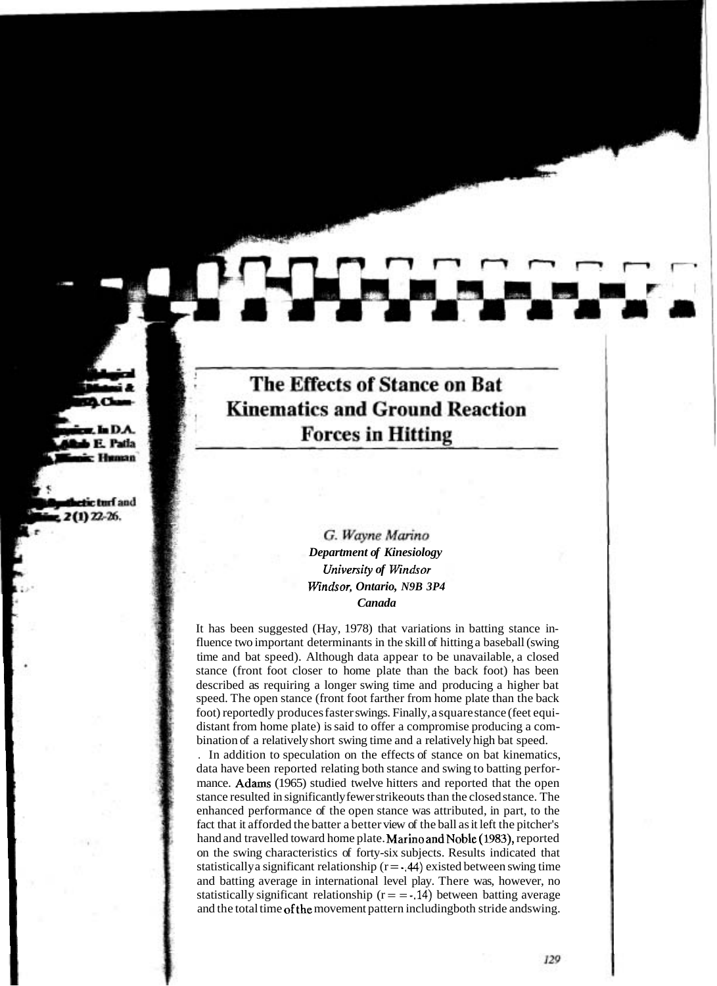# The Effects of Stance on Bat **Kinematics and Ground Reaction Forces in Hitting**

# G. Wayne Marino *Department of Kinesiology University of Windsor Windsor, Ontario, N9B 3P4 Canada*

It has been suggested (Hay, 1978) that variations in batting stance influence two important determinants in the skill of hitting a baseball (swing time and bat speed). Although data appear to be unavailable, a closed stance (front foot closer to home plate than the back foot) has been described as requiring a longer swing time and producing a higher bat speed. The open stance (front foot farther from home plate than the back foot) reportedly produces faster swings. Finally, a square stance (feet equidistant from home plate) is said to offer a compromise producing a combination of a relatively short swing time and a relatively high bat speed.

. In addition to speculation on the effects of stance on bat kinematics, data have been reported relating both stance and swing to batting performance. Adams (1965) studied twelve hitters and reported that the open stance resulted in significantly fewer strikeouts than the closed stance. The enhanced performance of the open stance was attributed, in part, to the fact that it afforded the batter a better view of the ball as it left the pitcher's hand and travelled toward home plate. Marino and Noble (1983), reported on the swing characteristics of forty-six subjects. Results indicated that statistically a significant relationship  $(r = 0.44)$  existed between swing time and batting average in international level play. There was, however, no statistically significant relationship  $(r = -14)$  between batting average and the total time ofthe movement pattern includingboth stride andswing.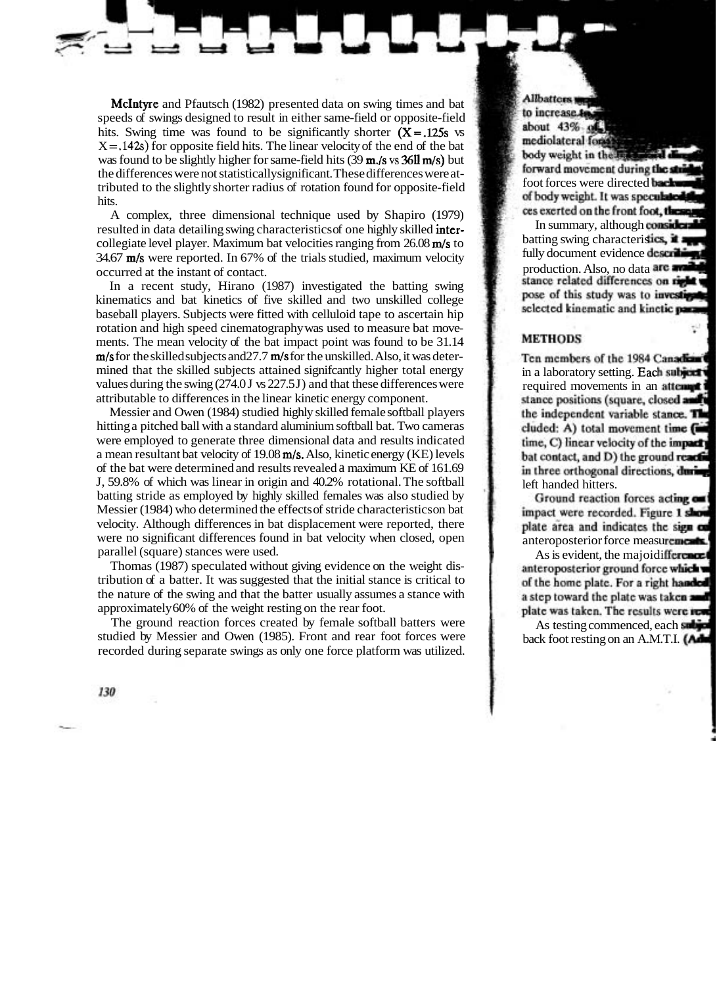McIntyre and Pfautsch (1982) presented data on swing times and bat speeds of swings designed to result in either same-field or opposite-field hits. Swing time was found to be significantly shorter  $(X = 125s$  vs  $X = .142s$ ) for opposite field hits. The linear velocity of the end of the bat was found to be slightly higher for same-field hits (39 m./s **vs** 36ll m/s) but the differences were not statistically significant. These differences were attributed to the slightly shorter radius of rotation found for opposite-field hits.

A complex, three dimensional technique used by Shapiro (1979) resulted in data detailing swing characteristics of one highly skilled intercollegiate level player. Maximum bat velocities ranging from  $26.08 \text{ m/s}$  to 34.67  $m/s$  were reported. In 67% of the trials studied, maximum velocity occurred at the instant of contact.

In a recent study, Hirano (1987) investigated the batting swing kinematics and bat kinetics of five skilled and two unskilled college baseball players. Subjects were fitted with celluloid tape to ascertain hip rotation and high speed cinematography was used to measure bat movements. The mean velocity of the bat impact point was found to be 31.14  $m/s$  for the skilled subjects and  $27.7$   $m/s$  for the unskilled. Also, it was determined that the skilled subjects attained significantly higher total energy values during the swing  $(274.0 \text{ J} \text{ vs } 227.5 \text{ J})$  and that these differences were attributable to differences in the linear kinetic energy component.

Messier and Owen (1984) studied highly skilled female softball players hitting a pitched ball with a standard aluminium softball bat. Two cameras were employed to generate three dimensional data and results indicated a mean resultant bat velocity of 19.08  $m/s$ . Also, kinetic energy (KE) levels of the bat were determined and results revealed a maximum KE of 161.69 J, 59.8% of which was linear in origin and 40.2% rotational. The softball batting stride as employed by highly skilled females was also studied by Messier (1984) who determined the effects of stride characteristics on bat velocity. Although differences in bat displacement were reported, there were no significant differences found in bat velocity when closed, open parallel (square) stances were used.

Thomas (1987) speculated without giving evidence on the weight distribution of a batter. It was suggested that the initial stance is critical to the nature of the swing and that the batter usually assumes a stance with approximately 60% of the weight resting on the rear foot.

The ground reaction forces created by female softball batters were studied by Messier and Owen (1985). Front and rear foot forces were recorded during separate swings as only one force platform was utilized.

130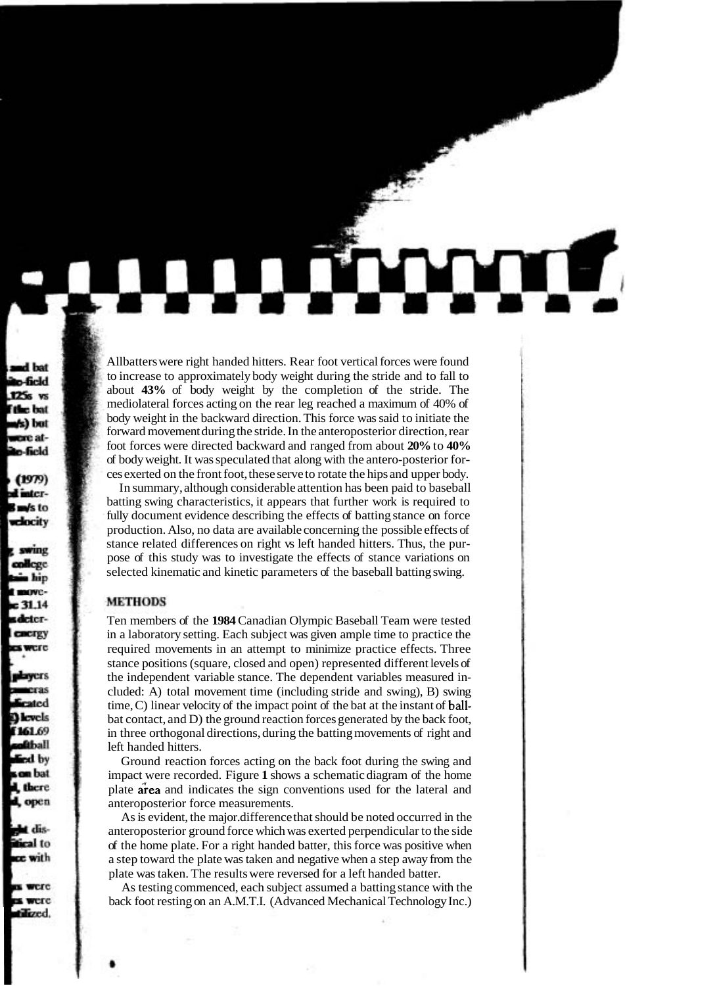Allbatters were right handed hitters. Rear foot vertical forces were found to increase to approximately body weight during the stride and to fall to about **43%** of body weight by the completion of the stride. The mediolateral forces acting on the rear leg reached a maximum of 40% of body weight in the backward direction. This force was said to initiate the forward movement during the stride. In the anteroposterior direction, rear foot forces were directed backward and ranged from about **20%** to **40%**  of body weight. It was speculated that along with the antero-posterior forces exerted on the front foot, these serve to rotate the hips and upper body.

In summary, although considerable attention has been paid to baseball batting swing characteristics, it appears that further work is required to fully document evidence describing the effects of batting stance on force production. Also, no data are available concerning the possible effects of stance related differences on right vs left handed hitters. Thus, the purpose of this study was to investigate the effects of stance variations on selected kinematic and kinetic parameters of the baseball batting swing.

# **METHODS**

Ten members of the **1984** Canadian Olympic Baseball Team were tested in a laboratory setting. Each subject was given ample time to practice the required movements in an attempt to minimize practice effects. Three stance positions (square, closed and open) represented different levels of the independent variable stance. The dependent variables measured included: A) total movement time (including stride and swing), B) swing time, C) linear velocity of the impact point of the bat at the instant of ballbat contact, and D) the ground reaction forces generated by the back foot, in three orthogonal directions, during the batting movements of right and left handed hitters.

Ground reaction forces acting on the back foot during the swing and impact were recorded. Figure **1** shows a schematic diagram of the home plate area and indicates the sign conventions used for the lateral and anteroposterior force measurements.

As is evident, the major. difference that should be noted occurred in the anteroposterior ground force which was exerted perpendicular to the side of the home plate. For a right handed batter, this force was positive when a step toward the plate was taken and negative when a step away from the plate was taken. The results were reversed for a left handed batter.

As testing commenced, each subject assumed a batting stance with the back foot resting on an A.M.T.I. (Advanced Mechanical Technology Inc.)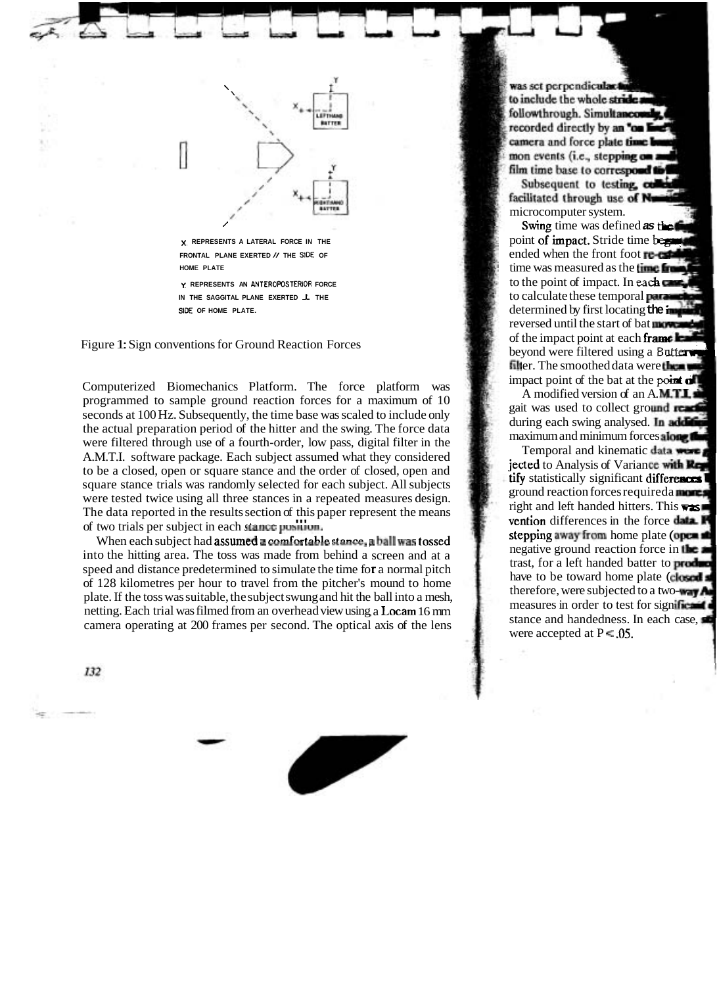

Figure 1: Sign conventions for Ground Reaction Forces

Computerized Biomechanics Platform. The force platform was programmed to sample ground reaction forces for a maximum of 10 seconds at 100 Hz. Subsequently, the time base was scaled to include only the actual preparation period of the hitter and the swing. The force data were filtered through use of a fourth-order, low pass, digital filter in the A.M.T.I. software package. Each subject assumed what they considered to be a closed, open or square stance and the order of closed, open and square stance trials was randomly selected for each subject. All subjects were tested twice using all three stances in a repeated measures design. The data reported in the results section of this paper represent the means I'll be data reported in the resurts section or this paper represent the means<br>of two trials per subject in each **stance pushion**.

two trials per subject in each stance pusition.<br>When each subject had **assumed a comfortable stance, a ball was tossed** into the hitting area. The toss was made from behind a screen and at a r a normal pitch transmission of the time is speed and distance predetermined to simulate the time for a normal pitch speed and distance predetermined to simulate the time for a normal pitch<br>of 128 kilometres per hour to travel from the pitcher's mound to home or 128 knowneries per nour to traver from the pitcher's mound to nome<br>plate. If the toss was suitable, the subject swung and hit the ball into a mesh, netting. Each trial was filmed from an overhead view using a Locam 16 mm retung. Each that was inflicted from an overhead view asing, a Eccan to finite camera operating at 200 frames per second. The optical axis of the lens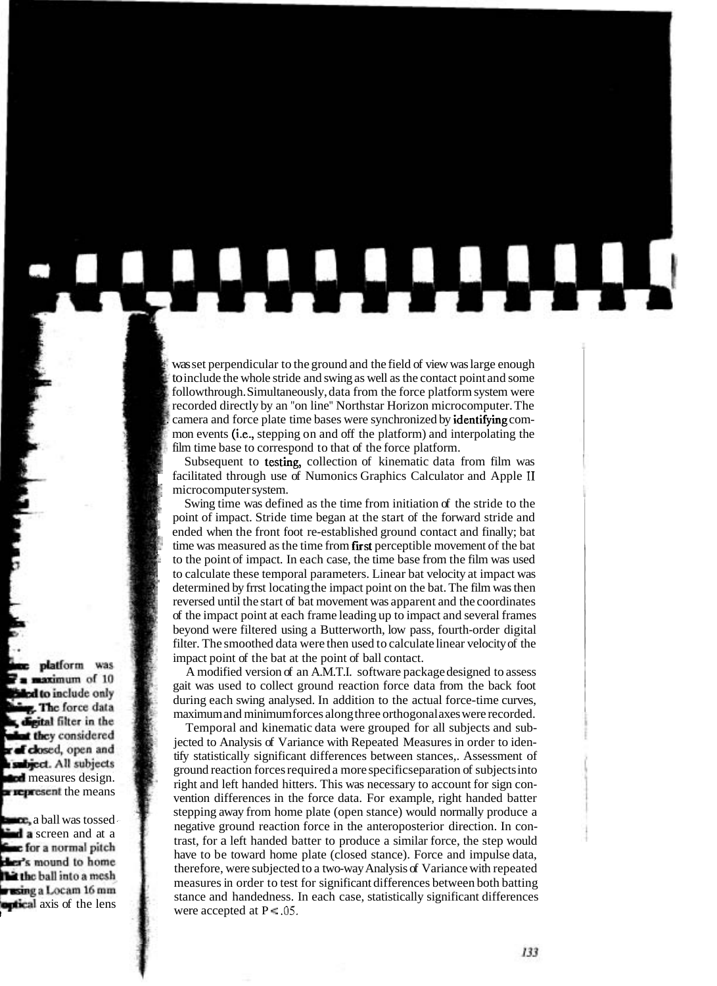was set perpendicular to the ground and the field of view was large enough to include the whole stride and swing as well as the contact point and some followthrough. Simultaneously, data from the force platform system were recorded directly by an "on line" Northstar Horizon microcomputer. The . camera and force plate time bases were synchronized by identifying common events (i-e., stepping on and off the platform) and interpolating the film time base to correspond to that of the force platform.

Subsequent to testing, collection of kinematic data from film was facilitated through use of Numonics Graphics Calculator and Apple **I1**  microcomputer system.

\$

Swing time was defined as the time from initiation of the stride to the point of impact. Stride time began at the start of the forward stride and ended when the front foot re-established ground contact and finally; bat time was measured as the time from first perceptible movement of the bat to the point of impact. In each case, the time base from the film was used to calculate these temporal parameters. Linear bat velocity at impact was determined by frrst locating the impact point on the bat. The film was then reversed until the start of bat movement was apparent and the coordinates of the impact point at each frame leading up to impact and several frames beyond were filtered using a Butterworth, low pass, fourth-order digital filter. The smoothed data were then used to calculate linear velocity of the impact point of the bat at the point of ball contact.

A modified version of an A.M.T.I. software package designed to assess gait was used to collect ground reaction force data from the back foot during each swing analysed. In addition to the actual force-time curves, maximum and minimum forces along three orthogonal axes were recorded.

Temporal and kinematic data were grouped for all subjects and subjected to Analysis of Variance with Repeated Measures in order to identify statistically significant differences between stances,. Assessment of ground reaction forces required a more specific separation of subjects into right and left handed hitters. This was necessary to account for sign convention differences in the force data. For example, right handed batter stepping away from home plate (open stance) would normally produce a negative ground reaction force in the anteroposterior direction. In contrast, for a left handed batter to produce a similar force, the step would have to be toward home plate (closed stance). Force and impulse data, therefore, were subjected to a two-way Analysis of Variance with repeated measures in order to test for significant differences between both batting stance and handedness. In each case, statistically significant differences were accepted at  $P = .05$ .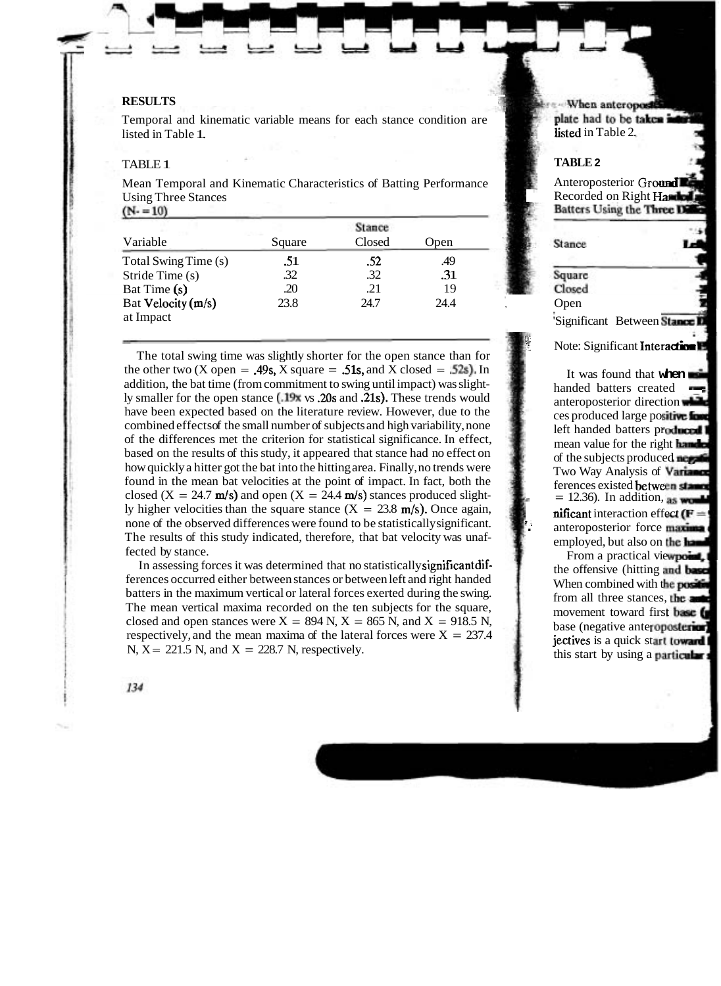# **RESULTS** -3

Temporal and kinematic variable means for each stance condition are listed in Table 1.

'

#### TABLE 1

Mean Temporal and Kinematic Characteristics of Batting Performance Using Three Stances

 $(N-10)$ 

| Variable                        | Square | Closed | <b>Open</b> |  |
|---------------------------------|--------|--------|-------------|--|
| Total Swing Time (s)            | .51    | .52    | .49         |  |
| Stride Time (s)                 | .32    | .32    | .31         |  |
| Bat Time (s)                    | .20    | .21    | 19          |  |
| Bat Velocity (m/s)<br>at Impact | 23.8   | 24.7   | 24.4        |  |
|                                 |        |        |             |  |

The total swing time was slightly shorter for the open stance than for the other two (X open = .49s, X square = .51s, and X closed = .52s). In addition, the bat time (from commitment to swing until impact) was slightly smaller for the open stance (.19x vs .20s and .21s). These trends would have been expected based on the literature review. However, due to the combined effects of the small number of subjects and high variability, none of the differences met the criterion for statistical significance. In effect, based on the results of this study, it appeared that stance had no effect on how quickly a hitter got the bat into the hitting area. Finally, no trends were found in the mean bat velocities at the point of impact. In fact, both the closed  $(X = 24.7 \text{ m/s})$  and open  $(X = 24.4 \text{ m/s})$  stances produced slightly higher velocities than the square stance  $(X = 23.8 \text{ m/s})$ . Once again, none of the observed differences were found to be statistically significant. The results of this study indicated, therefore, that bat velocity was unaffected by stance.

In assessing forces it was determined that no statistically significantdifferences occurred either between stances or between left and right handed batters in the maximum vertical or lateral forces exerted during the swing. The mean vertical maxima recorded on the ten subjects for the square, closed and open stances were  $X = 894$  N,  $X = 865$  N, and  $X = 918.5$  N, respectively, and the mean maxima of the lateral forces were  $X = 237.4$ N,  $X = 221.5$  N, and  $X = 228.7$  N, respectively.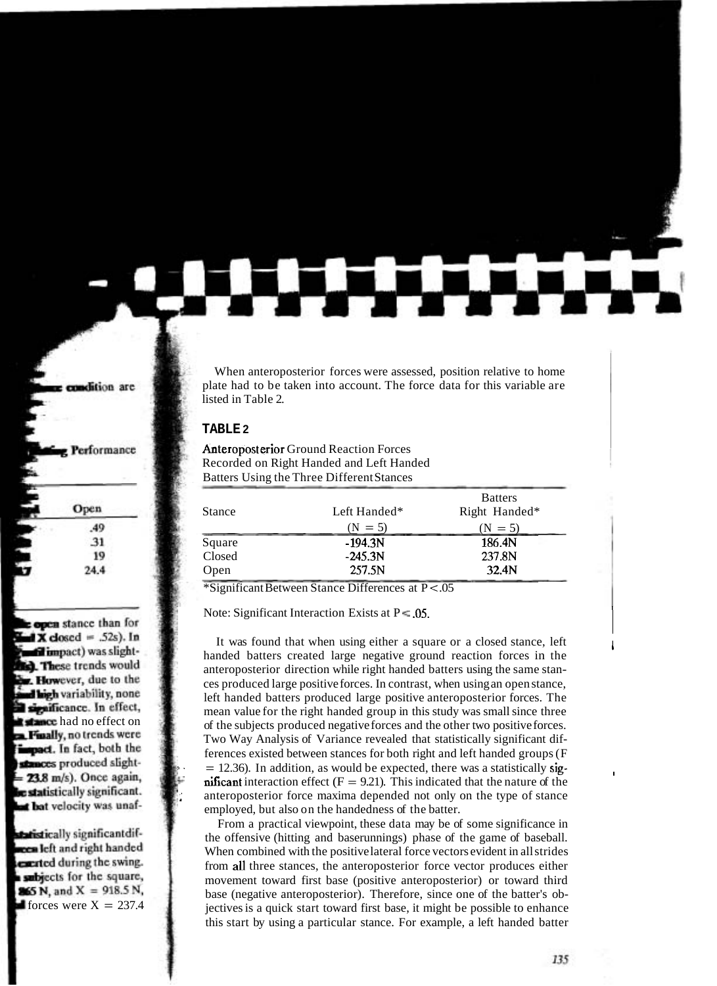When anteroposterior forces were assessed, position relative to home plate had to be taken into account. The force data for this variable are listed in Table 2.

### **TABLE 2**

# Anteroposterior Ground Reaction Forces Recorded on Right Handed and Left Handed Batters Using the Three Different Stances

| <b>Stance</b> | Left Handed* | <b>Batters</b><br>Right Handed* |
|---------------|--------------|---------------------------------|
|               | $(N = 5)$    | $(N = 5)$                       |
| Square        | $-194.3N$    | 186.4N                          |
| Closed        | $-245.3N$    | 237.8N                          |
| Open          | 257.5N       | 32.4N                           |

\*Significant Between Stance Differences at P < .05

Note: Significant Interaction Exists at  $P = .05$ .

It was found that when using either a square or a closed stance, left handed batters created large negative ground reaction forces in the anteroposterior direction while right handed batters using the same stances produced large positive forces. In contrast, when using an open stance, left handed batters produced large positive anteroposterior forces. The mean value for the right handed group in this study was small since three of the subjects produced negative forces and the other two positive forces. Two Way Analysis of Variance revealed that statistically significant differences existed between stances for both right and left handed groups (F  $= 12.36$ ). In addition, as would be expected, there was a statistically sig**nificant** interaction effect ( $F = 9.21$ ). This indicated that the nature of the anteroposterior force maxima depended not only on the type of stance employed, but also on the handedness of the batter.

From a practical viewpoint, these data may be of some significance in the offensive (hitting and baserunnings) phase of the game of baseball. When combined with the positive lateral force vectors evident in all strides from all three stances, the anteroposterior force vector produces either movement toward first base (positive anteroposterior) or toward third base (negative anteroposterior). Therefore, since one of the batter's objectives is a quick start toward first base, it might be possible to enhance this start by using a particular stance. For example, a left handed batter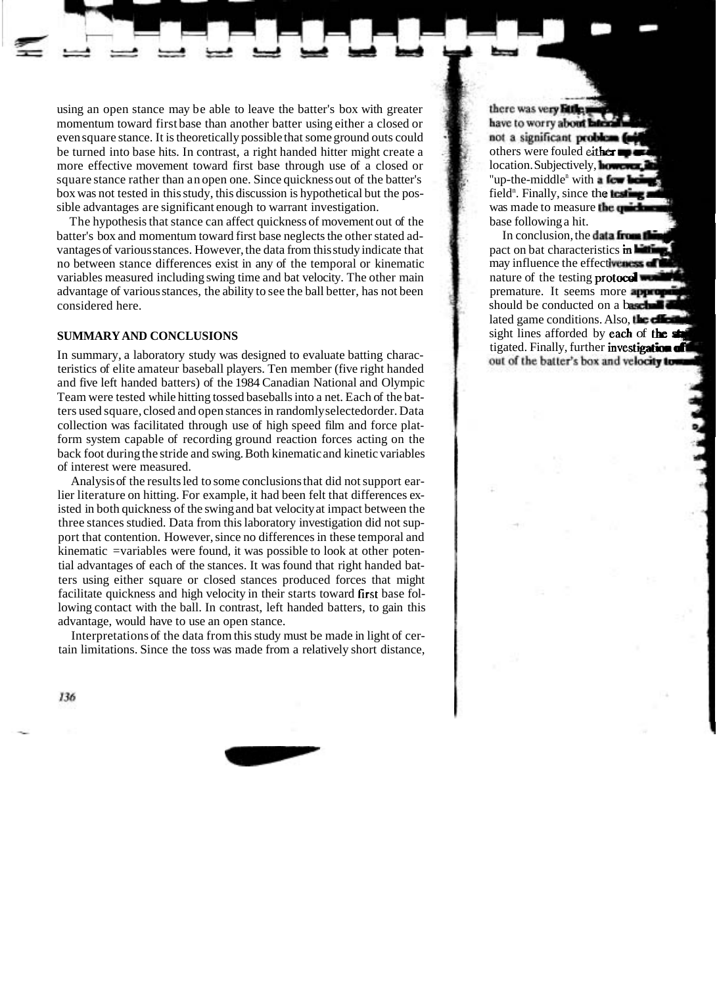using an open stance may be able to leave the batter's box with greater momentum toward first base than another batter using either a closed or even square stance. It is theoretically possible that some ground outs could be turned into base hits. In contrast, a right handed hitter might create a more effective movement toward first base through use of a closed or square stance rather than an open one. Since quickness out of the batter's box was not tested in this study, this discussion is hypothetical but the possible advantages are significant enough to warrant investigation.

The hypothesis that stance can affect quickness of movement out of the batter's box and momentum toward first base neglects the other stated advantages of various stances. However, the data from this study indicate that no between stance differences exist in any of the temporal or kinematic variables measured including swing time and bat velocity. The other main advantage of various stances, the ability to see the ball better, has not been considered here.

# **SUMMARY AND CONCLUSIONS**

In summary, a laboratory study was designed to evaluate batting characteristics of elite amateur baseball players. Ten member (five right handed and five left handed batters) of the 1984 Canadian National and Olympic Team were tested while hitting tossed baseballs into a net. Each of the batters used square, closed and open stances in randomly selectedorder. Data collection was facilitated through use of high speed film and force platform system capable of recording ground reaction forces acting on the back foot during the stride and swing. Both kinematic and kinetic variables of interest were measured.

Analysis of the results led to some conclusions that did not support earlier literature on hitting. For example, it had been felt that differences existed in both quickness of the swing and bat velocity at impact between the three stances studied. Data from this laboratory investigation did not support that contention. However, since no differences in these temporal and kinematic =variables were found, it was possible to look at other potential advantages of each of the stances. It was found that right handed batters using either square or closed stances produced forces that might facilitate quickness and high velocity in their starts toward first base following contact with the ball. In contrast, left handed batters, to gain this advantage, would have to use an open stance.

Interpretations of the data from this study must be made in light of certain limitations. Since the toss was made from a relatively short distance,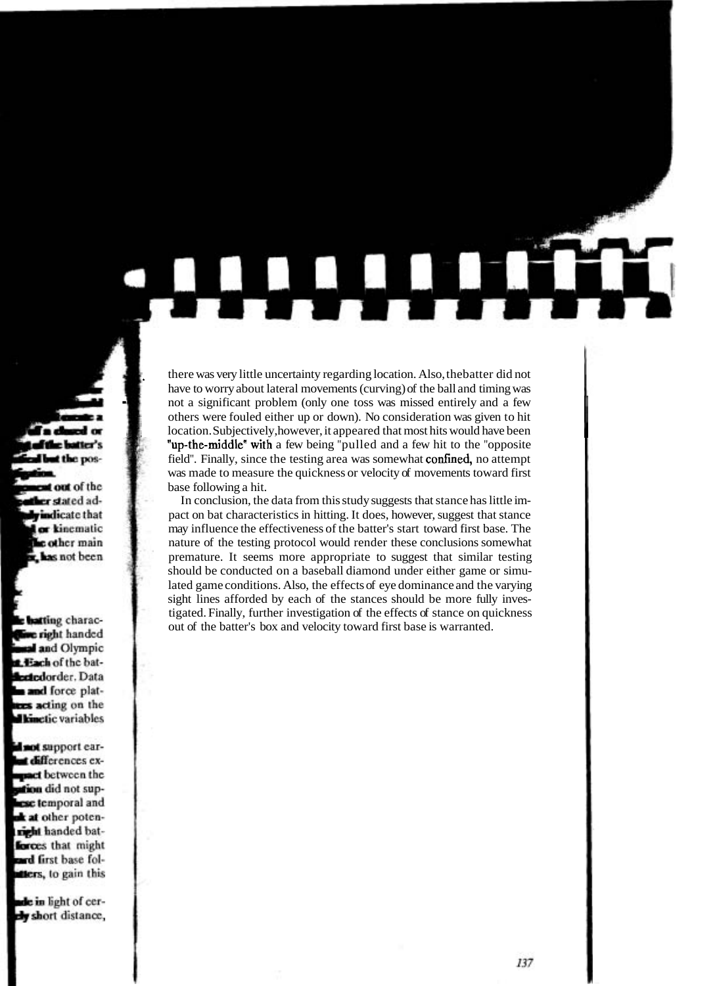there was very little uncertainty regarding location. Also, the batter did not<br>have to worry about lateral movements (curving) of the ball and timing was<br>not a significant problem (only one toss was missed entirely and a f others were fouled either up or down). No consideration was given to hit location. Subjectively, however, it appeared that most hits would have been "up-the-middle" with a few being "pulled and a few hit to the "opposite" field". Finally, since the testing area was somewhat **confined**, no attempt was made to measure the quickness or velocity of movements toward first base following a hit.

In conclusion, the data from this study suggests that stance has little impact on bat characteristics in hitting. It does, however, suggest that stance may influence the effectiveness of the batter's start toward first base. The nature of the testing protocol would render these conclusions somewhat premature. It seems more appropriate to suggest that similar testing should be conducted on a baseball diamond under either game or simulated game conditions. Also, the effects of eye dominance and the varying sight lines afforded by each of the stances should be more fully investigated. Finally, further investigation of the effects of stance on quickness out of the batter's box and velocity toward first base is warranted.